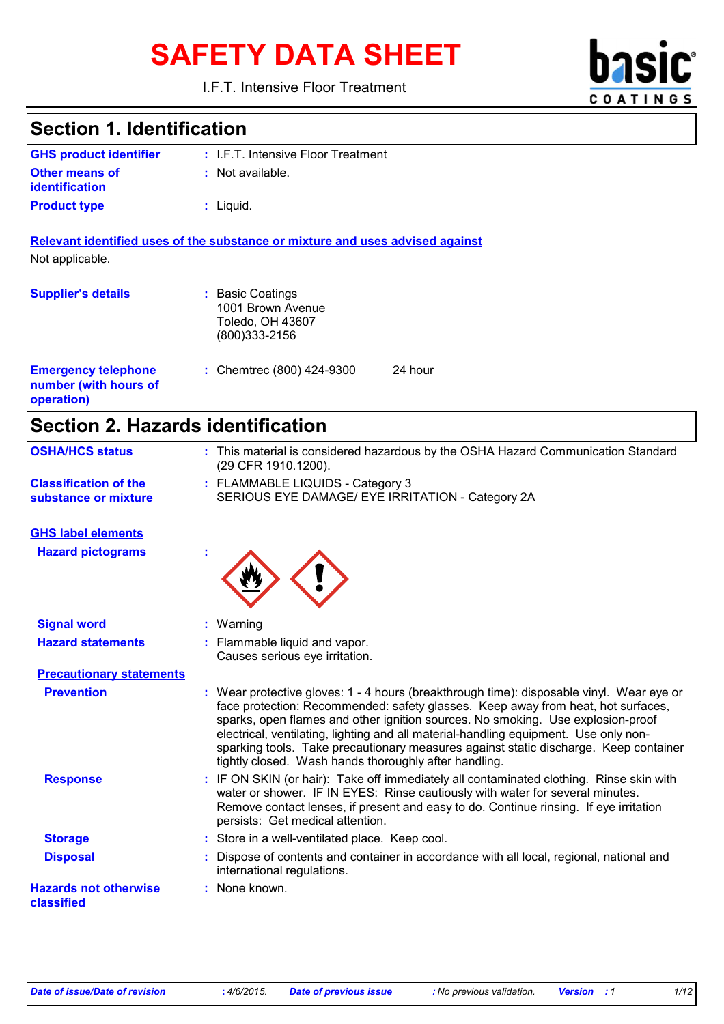# SAFETY DATA SHEET **basic**

I.F.T. Intensive Floor Treatment



### **Section 1. Identification**

| <b>GHS product identifier</b> | : I.F.T. Intensive Floor Treatment |
|-------------------------------|------------------------------------|
| <b>Other means of</b>         | $:$ Not available.                 |
| <i>identification</i>         |                                    |
| <b>Product type</b>           | : Liguid.                          |

**Relevant identified uses of the substance or mixture and uses advised against** Not applicable.

| <b>Supplier's details</b>                                         | : Basic Coatings<br>1001 Brown Avenue<br>Toledo, OH 43607<br>$(800)333 - 2156$ |         |
|-------------------------------------------------------------------|--------------------------------------------------------------------------------|---------|
| <b>Emergency telephone</b><br>number (with hours of<br>operation) | : Chemtrec $(800)$ 424-9300                                                    | 24 hour |

# **Section 2. Hazards identification**

| <b>OSHA/HCS status</b>                     | : This material is considered hazardous by the OSHA Hazard Communication Standard<br>(29 CFR 1910.1200).                                                                                                                                                                                                                                                                                                                                                                                                 |
|--------------------------------------------|----------------------------------------------------------------------------------------------------------------------------------------------------------------------------------------------------------------------------------------------------------------------------------------------------------------------------------------------------------------------------------------------------------------------------------------------------------------------------------------------------------|
| <b>Classification of the</b>               | : FLAMMABLE LIQUIDS - Category 3                                                                                                                                                                                                                                                                                                                                                                                                                                                                         |
| substance or mixture                       | SERIOUS EYE DAMAGE/ EYE IRRITATION - Category 2A                                                                                                                                                                                                                                                                                                                                                                                                                                                         |
| <b>GHS label elements</b>                  |                                                                                                                                                                                                                                                                                                                                                                                                                                                                                                          |
| <b>Hazard pictograms</b>                   |                                                                                                                                                                                                                                                                                                                                                                                                                                                                                                          |
| <b>Signal word</b>                         | : Warning                                                                                                                                                                                                                                                                                                                                                                                                                                                                                                |
| <b>Hazard statements</b>                   | : Flammable liquid and vapor.<br>Causes serious eye irritation.                                                                                                                                                                                                                                                                                                                                                                                                                                          |
| <b>Precautionary statements</b>            |                                                                                                                                                                                                                                                                                                                                                                                                                                                                                                          |
| <b>Prevention</b>                          | : Wear protective gloves: 1 - 4 hours (breakthrough time): disposable vinyl. Wear eye or<br>face protection: Recommended: safety glasses. Keep away from heat, hot surfaces,<br>sparks, open flames and other ignition sources. No smoking. Use explosion-proof<br>electrical, ventilating, lighting and all material-handling equipment. Use only non-<br>sparking tools. Take precautionary measures against static discharge. Keep container<br>tightly closed. Wash hands thoroughly after handling. |
| <b>Response</b>                            | : IF ON SKIN (or hair): Take off immediately all contaminated clothing. Rinse skin with<br>water or shower. IF IN EYES: Rinse cautiously with water for several minutes.<br>Remove contact lenses, if present and easy to do. Continue rinsing. If eye irritation<br>persists: Get medical attention.                                                                                                                                                                                                    |
| <b>Storage</b>                             | : Store in a well-ventilated place. Keep cool.                                                                                                                                                                                                                                                                                                                                                                                                                                                           |
| <b>Disposal</b>                            | Dispose of contents and container in accordance with all local, regional, national and<br>international regulations.                                                                                                                                                                                                                                                                                                                                                                                     |
| <b>Hazards not otherwise</b><br>classified | : None known.                                                                                                                                                                                                                                                                                                                                                                                                                                                                                            |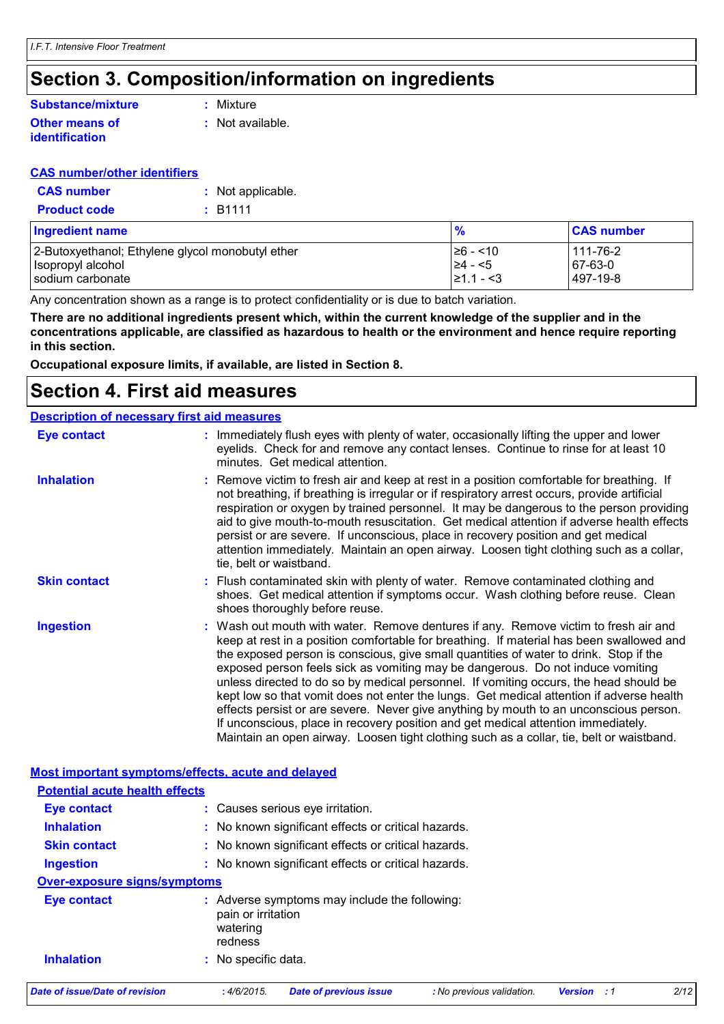### **Section 3. Composition/information on ingredients**

#### **Substance/mixture**

#### **Other means of identification**

**:** Mixture

**:** Not available.

#### **CAS number/other identifiers**

| <b>CAS number</b>   | : Not applicable. |
|---------------------|-------------------|
| <b>Product code</b> | : B1111           |

| <b>Ingredient name</b>                           | $\frac{9}{6}$ | <b>CAS number</b> |
|--------------------------------------------------|---------------|-------------------|
| 2-Butoxyethanol; Ethylene glycol monobutyl ether | l≥6 - <10     | 111-76-2          |
| Isopropyl alcohol                                | $\geq 4 - 5$  | 67-63-0           |
| sodium carbonate                                 | $ 21.1 - 3$   | 497-19-8          |

Any concentration shown as a range is to protect confidentiality or is due to batch variation.

**There are no additional ingredients present which, within the current knowledge of the supplier and in the concentrations applicable, are classified as hazardous to health or the environment and hence require reporting in this section.**

**Occupational exposure limits, if available, are listed in Section 8.**

### **Section 4. First aid measures**

**Description of necessary first aid measures**

#### Wash out mouth with water. Remove dentures if any. Remove victim to fresh air and keep at rest in a position comfortable for breathing. If material has been swallowed and the exposed person is conscious, give small quantities of water to drink. Stop if the exposed person feels sick as vomiting may be dangerous. Do not induce vomiting unless directed to do so by medical personnel. If vomiting occurs, the head should be kept low so that vomit does not enter the lungs. Get medical attention if adverse health effects persist or are severe. Never give anything by mouth to an unconscious person. If unconscious, place in recovery position and get medical attention immediately. Maintain an open airway. Loosen tight clothing such as a collar, tie, belt or waistband. **:** Immediately flush eyes with plenty of water, occasionally lifting the upper and lower eyelids. Check for and remove any contact lenses. Continue to rinse for at least 10 minutes. Get medical attention. Flush contaminated skin with plenty of water. Remove contaminated clothing and **:** shoes. Get medical attention if symptoms occur. Wash clothing before reuse. Clean shoes thoroughly before reuse. Remove victim to fresh air and keep at rest in a position comfortable for breathing. If **:** not breathing, if breathing is irregular or if respiratory arrest occurs, provide artificial respiration or oxygen by trained personnel. It may be dangerous to the person providing aid to give mouth-to-mouth resuscitation. Get medical attention if adverse health effects persist or are severe. If unconscious, place in recovery position and get medical attention immediately. Maintain an open airway. Loosen tight clothing such as a collar, tie, belt or waistband. **Eye contact Skin contact Inhalation Ingestion : Most important symptoms/effects, acute and delayed Inhalation <b>:** No known significant effects or critical hazards. **Ingestion :** No known significant effects or critical hazards. **Skin contact : No known significant effects or critical hazards. Eye contact :** Causes serious eye irritation. **Over-exposure signs/symptoms Inhalation :** No specific data. **Eye contact :** Adverse symptoms may include the following: pain or irritation watering redness **Potential acute health effects** *Date of issue/Date of revision* **:** *4/6/2015. Date of previous issue : No previous validation. Version : 1 2/12*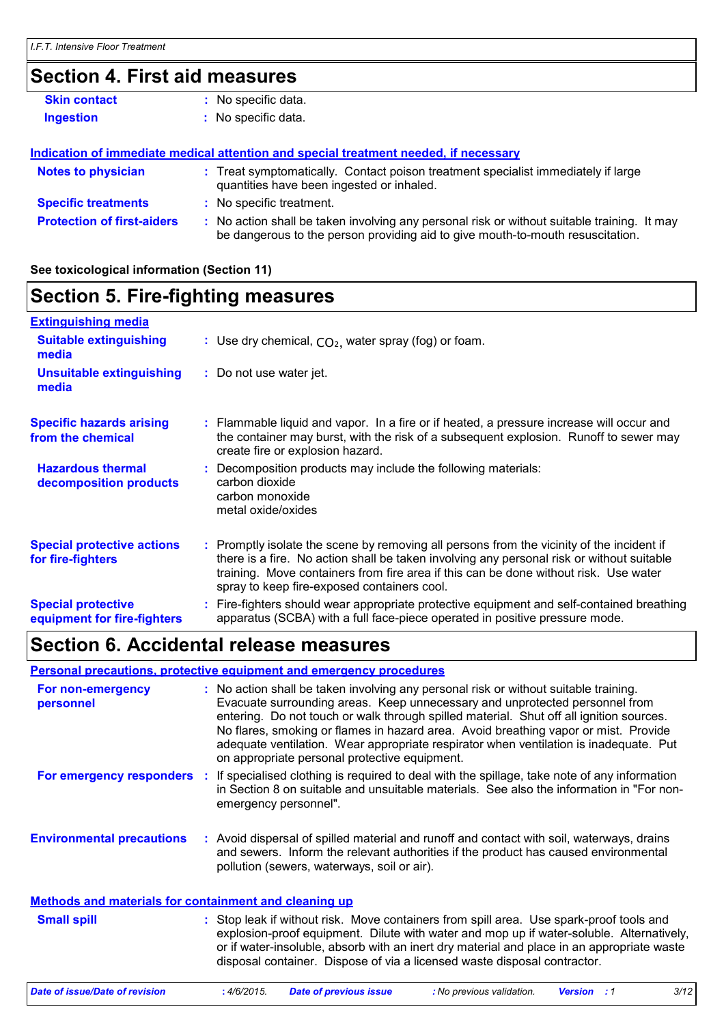# **Section 4. First aid measures**

| No specific data.                                                                                                                                                             |
|-------------------------------------------------------------------------------------------------------------------------------------------------------------------------------|
| No specific data.                                                                                                                                                             |
|                                                                                                                                                                               |
| Indication of immediate medical attention and special treatment needed, if necessary                                                                                          |
| : Treat symptomatically. Contact poison treatment specialist immediately if large<br>quantities have been ingested or inhaled.                                                |
| : No specific treatment.                                                                                                                                                      |
| : No action shall be taken involving any personal risk or without suitable training. It may<br>be dangerous to the person providing aid to give mouth-to-mouth resuscitation. |
|                                                                                                                                                                               |

#### **See toxicological information (Section 11)**

### **Section 5. Fire-fighting measures**

| <b>Extinguishing media</b>                               |                                                                                                                                                                                                                                                                                                                               |
|----------------------------------------------------------|-------------------------------------------------------------------------------------------------------------------------------------------------------------------------------------------------------------------------------------------------------------------------------------------------------------------------------|
| <b>Suitable extinguishing</b><br>media                   | : Use dry chemical, $CO2$ , water spray (fog) or foam.                                                                                                                                                                                                                                                                        |
| <b>Unsuitable extinguishing</b><br>media                 | : Do not use water jet.                                                                                                                                                                                                                                                                                                       |
| <b>Specific hazards arising</b><br>from the chemical     | : Flammable liquid and vapor. In a fire or if heated, a pressure increase will occur and<br>the container may burst, with the risk of a subsequent explosion. Runoff to sewer may<br>create fire or explosion hazard.                                                                                                         |
| <b>Hazardous thermal</b><br>decomposition products       | Decomposition products may include the following materials:<br>carbon dioxide<br>carbon monoxide<br>metal oxide/oxides                                                                                                                                                                                                        |
| <b>Special protective actions</b><br>for fire-fighters   | : Promptly isolate the scene by removing all persons from the vicinity of the incident if<br>there is a fire. No action shall be taken involving any personal risk or without suitable<br>training. Move containers from fire area if this can be done without risk. Use water<br>spray to keep fire-exposed containers cool. |
| <b>Special protective</b><br>equipment for fire-fighters | : Fire-fighters should wear appropriate protective equipment and self-contained breathing<br>apparatus (SCBA) with a full face-piece operated in positive pressure mode.                                                                                                                                                      |

### **Section 6. Accidental release measures**

#### **Personal precautions, protective equipment and emergency procedures**

| For non-emergency<br>personnel                        | on appropriate personal protective equipment. | : No action shall be taken involving any personal risk or without suitable training.<br>Evacuate surrounding areas. Keep unnecessary and unprotected personnel from<br>entering. Do not touch or walk through spilled material. Shut off all ignition sources.<br>No flares, smoking or flames in hazard area. Avoid breathing vapor or mist. Provide<br>adequate ventilation. Wear appropriate respirator when ventilation is inadequate. Put |
|-------------------------------------------------------|-----------------------------------------------|------------------------------------------------------------------------------------------------------------------------------------------------------------------------------------------------------------------------------------------------------------------------------------------------------------------------------------------------------------------------------------------------------------------------------------------------|
| For emergency responders                              | emergency personnel".                         | If specialised clothing is required to deal with the spillage, take note of any information<br>in Section 8 on suitable and unsuitable materials. See also the information in "For non-                                                                                                                                                                                                                                                        |
| <b>Environmental precautions</b>                      | pollution (sewers, waterways, soil or air).   | : Avoid dispersal of spilled material and runoff and contact with soil, waterways, drains<br>and sewers. Inform the relevant authorities if the product has caused environmental                                                                                                                                                                                                                                                               |
| Methods and materials for containment and cleaning up |                                               |                                                                                                                                                                                                                                                                                                                                                                                                                                                |
| <b>Small spill</b>                                    |                                               | : Stop leak if without risk. Move containers from spill area. Use spark-proof tools and<br>explosion-proof equipment. Dilute with water and mop up if water-soluble. Alternatively,<br>or if water-insoluble, absorb with an inert dry material and place in an appropriate waste<br>disposal container. Dispose of via a licensed waste disposal contractor.                                                                                  |

*Date of issue/Date of revision* **:** *4/6/2015. Date of previous issue : No previous validation. Version : 1 3/12*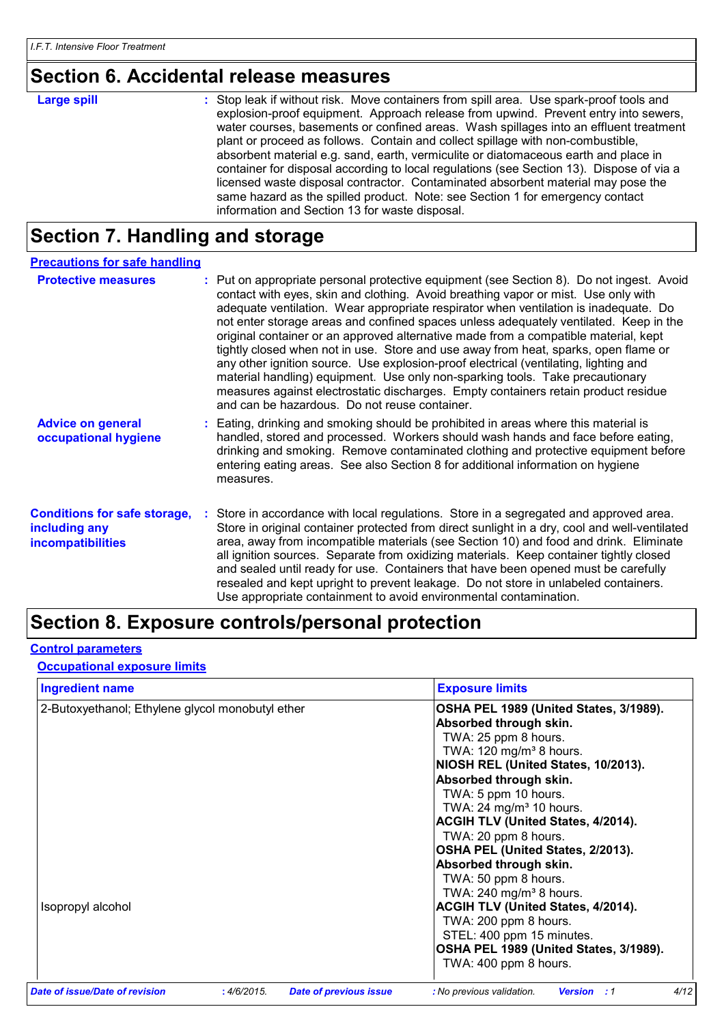# **Section 6. Accidental release measures**

| <b>Large spill</b> | : Stop leak if without risk. Move containers from spill area. Use spark-proof tools and<br>explosion-proof equipment. Approach release from upwind. Prevent entry into sewers,<br>water courses, basements or confined areas. Wash spillages into an effluent treatment<br>plant or proceed as follows. Contain and collect spillage with non-combustible,<br>absorbent material e.g. sand, earth, vermiculite or diatomaceous earth and place in<br>container for disposal according to local regulations (see Section 13). Dispose of via a<br>licensed waste disposal contractor. Contaminated absorbent material may pose the<br>same hazard as the spilled product. Note: see Section 1 for emergency contact |
|--------------------|--------------------------------------------------------------------------------------------------------------------------------------------------------------------------------------------------------------------------------------------------------------------------------------------------------------------------------------------------------------------------------------------------------------------------------------------------------------------------------------------------------------------------------------------------------------------------------------------------------------------------------------------------------------------------------------------------------------------|
|                    | information and Section 13 for waste disposal.                                                                                                                                                                                                                                                                                                                                                                                                                                                                                                                                                                                                                                                                     |

# **Section 7. Handling and storage**

| <b>Precautions for safe handling</b>                                             |                                                                                                                                                                                                                                                                                                                                                                                                                                                                                                                                                                                                                                                                                                                                                                                                                                                             |
|----------------------------------------------------------------------------------|-------------------------------------------------------------------------------------------------------------------------------------------------------------------------------------------------------------------------------------------------------------------------------------------------------------------------------------------------------------------------------------------------------------------------------------------------------------------------------------------------------------------------------------------------------------------------------------------------------------------------------------------------------------------------------------------------------------------------------------------------------------------------------------------------------------------------------------------------------------|
| <b>Protective measures</b>                                                       | Put on appropriate personal protective equipment (see Section 8). Do not ingest. Avoid<br>contact with eyes, skin and clothing. Avoid breathing vapor or mist. Use only with<br>adequate ventilation. Wear appropriate respirator when ventilation is inadequate. Do<br>not enter storage areas and confined spaces unless adequately ventilated. Keep in the<br>original container or an approved alternative made from a compatible material, kept<br>tightly closed when not in use. Store and use away from heat, sparks, open flame or<br>any other ignition source. Use explosion-proof electrical (ventilating, lighting and<br>material handling) equipment. Use only non-sparking tools. Take precautionary<br>measures against electrostatic discharges. Empty containers retain product residue<br>and can be hazardous. Do not reuse container. |
| <b>Advice on general</b><br>occupational hygiene                                 | Eating, drinking and smoking should be prohibited in areas where this material is<br>handled, stored and processed. Workers should wash hands and face before eating,<br>drinking and smoking. Remove contaminated clothing and protective equipment before<br>entering eating areas. See also Section 8 for additional information on hygiene<br>measures.                                                                                                                                                                                                                                                                                                                                                                                                                                                                                                 |
| <b>Conditions for safe storage,</b><br>including any<br><b>incompatibilities</b> | Store in accordance with local regulations. Store in a segregated and approved area.<br>Store in original container protected from direct sunlight in a dry, cool and well-ventilated<br>area, away from incompatible materials (see Section 10) and food and drink. Eliminate<br>all ignition sources. Separate from oxidizing materials. Keep container tightly closed<br>and sealed until ready for use. Containers that have been opened must be carefully<br>resealed and kept upright to prevent leakage. Do not store in unlabeled containers.<br>Use appropriate containment to avoid environmental contamination.                                                                                                                                                                                                                                  |

# **Section 8. Exposure controls/personal protection**

#### **Control parameters**

#### **Occupational exposure limits**

| <b>Ingredient name</b>                           | <b>Exposure limits</b>                    |
|--------------------------------------------------|-------------------------------------------|
| 2-Butoxyethanol; Ethylene glycol monobutyl ether | OSHA PEL 1989 (United States, 3/1989).    |
|                                                  | Absorbed through skin.                    |
|                                                  | TWA: 25 ppm 8 hours.                      |
|                                                  | TWA: 120 mg/m <sup>3</sup> 8 hours.       |
|                                                  | NIOSH REL (United States, 10/2013).       |
|                                                  | Absorbed through skin.                    |
|                                                  | TWA: 5 ppm 10 hours.                      |
|                                                  | TWA: 24 mg/m <sup>3</sup> 10 hours.       |
|                                                  | <b>ACGIH TLV (United States, 4/2014).</b> |
|                                                  | TWA: 20 ppm 8 hours.                      |
|                                                  | OSHA PEL (United States, 2/2013).         |
|                                                  | Absorbed through skin.                    |
|                                                  | TWA: 50 ppm 8 hours.                      |
|                                                  | TWA: 240 mg/m <sup>3</sup> 8 hours.       |
| Isopropyl alcohol                                | <b>ACGIH TLV (United States, 4/2014).</b> |
|                                                  | TWA: 200 ppm 8 hours.                     |
|                                                  | STEL: 400 ppm 15 minutes.                 |
|                                                  | OSHA PEL 1989 (United States, 3/1989).    |
|                                                  | TWA: 400 ppm 8 hours.                     |
|                                                  |                                           |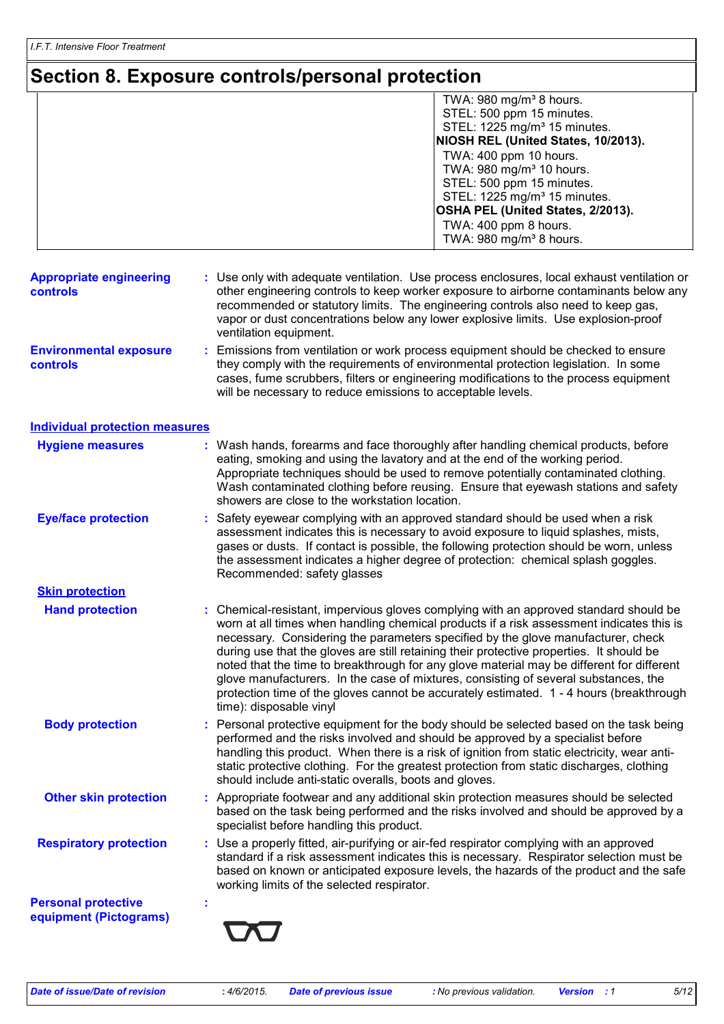# **Section 8. Exposure controls/personal protection**

|                                                      | TWA: 980 mg/m <sup>3</sup> 8 hours.                                                                                                                                                                                                                                                                                                                                                                                                                                                                                                                                                                                                                                         |  |
|------------------------------------------------------|-----------------------------------------------------------------------------------------------------------------------------------------------------------------------------------------------------------------------------------------------------------------------------------------------------------------------------------------------------------------------------------------------------------------------------------------------------------------------------------------------------------------------------------------------------------------------------------------------------------------------------------------------------------------------------|--|
|                                                      | STEL: 500 ppm 15 minutes.                                                                                                                                                                                                                                                                                                                                                                                                                                                                                                                                                                                                                                                   |  |
|                                                      | STEL: 1225 mg/m <sup>3</sup> 15 minutes.                                                                                                                                                                                                                                                                                                                                                                                                                                                                                                                                                                                                                                    |  |
|                                                      | NIOSH REL (United States, 10/2013).                                                                                                                                                                                                                                                                                                                                                                                                                                                                                                                                                                                                                                         |  |
|                                                      | TWA: 400 ppm 10 hours.                                                                                                                                                                                                                                                                                                                                                                                                                                                                                                                                                                                                                                                      |  |
|                                                      | TWA: 980 mg/m <sup>3</sup> 10 hours.<br>STEL: 500 ppm 15 minutes.                                                                                                                                                                                                                                                                                                                                                                                                                                                                                                                                                                                                           |  |
|                                                      | STEL: 1225 mg/m <sup>3</sup> 15 minutes.                                                                                                                                                                                                                                                                                                                                                                                                                                                                                                                                                                                                                                    |  |
|                                                      | OSHA PEL (United States, 2/2013).                                                                                                                                                                                                                                                                                                                                                                                                                                                                                                                                                                                                                                           |  |
|                                                      | TWA: 400 ppm 8 hours.                                                                                                                                                                                                                                                                                                                                                                                                                                                                                                                                                                                                                                                       |  |
|                                                      | TWA: 980 mg/m <sup>3</sup> 8 hours.                                                                                                                                                                                                                                                                                                                                                                                                                                                                                                                                                                                                                                         |  |
|                                                      |                                                                                                                                                                                                                                                                                                                                                                                                                                                                                                                                                                                                                                                                             |  |
| <b>Appropriate engineering</b><br><b>controls</b>    | : Use only with adequate ventilation. Use process enclosures, local exhaust ventilation or<br>other engineering controls to keep worker exposure to airborne contaminants below any<br>recommended or statutory limits. The engineering controls also need to keep gas,<br>vapor or dust concentrations below any lower explosive limits. Use explosion-proof<br>ventilation equipment.                                                                                                                                                                                                                                                                                     |  |
| <b>Environmental exposure</b><br><b>controls</b>     | Emissions from ventilation or work process equipment should be checked to ensure<br>÷.<br>they comply with the requirements of environmental protection legislation. In some<br>cases, fume scrubbers, filters or engineering modifications to the process equipment<br>will be necessary to reduce emissions to acceptable levels.                                                                                                                                                                                                                                                                                                                                         |  |
| <b>Individual protection measures</b>                |                                                                                                                                                                                                                                                                                                                                                                                                                                                                                                                                                                                                                                                                             |  |
| <b>Hygiene measures</b>                              | : Wash hands, forearms and face thoroughly after handling chemical products, before                                                                                                                                                                                                                                                                                                                                                                                                                                                                                                                                                                                         |  |
|                                                      | eating, smoking and using the lavatory and at the end of the working period.<br>Appropriate techniques should be used to remove potentially contaminated clothing.<br>Wash contaminated clothing before reusing. Ensure that eyewash stations and safety<br>showers are close to the workstation location.                                                                                                                                                                                                                                                                                                                                                                  |  |
| <b>Eye/face protection</b>                           | : Safety eyewear complying with an approved standard should be used when a risk                                                                                                                                                                                                                                                                                                                                                                                                                                                                                                                                                                                             |  |
|                                                      | assessment indicates this is necessary to avoid exposure to liquid splashes, mists,<br>gases or dusts. If contact is possible, the following protection should be worn, unless<br>the assessment indicates a higher degree of protection: chemical splash goggles.<br>Recommended: safety glasses                                                                                                                                                                                                                                                                                                                                                                           |  |
| <b>Skin protection</b>                               |                                                                                                                                                                                                                                                                                                                                                                                                                                                                                                                                                                                                                                                                             |  |
| <b>Hand protection</b>                               | : Chemical-resistant, impervious gloves complying with an approved standard should be<br>worn at all times when handling chemical products if a risk assessment indicates this is<br>necessary. Considering the parameters specified by the glove manufacturer, check<br>during use that the gloves are still retaining their protective properties. It should be<br>noted that the time to breakthrough for any glove material may be different for different<br>glove manufacturers. In the case of mixtures, consisting of several substances, the<br>protection time of the gloves cannot be accurately estimated. 1 - 4 hours (breakthrough<br>time): disposable vinyl |  |
| <b>Body protection</b>                               | Personal protective equipment for the body should be selected based on the task being<br>÷.<br>performed and the risks involved and should be approved by a specialist before<br>handling this product. When there is a risk of ignition from static electricity, wear anti-<br>static protective clothing. For the greatest protection from static discharges, clothing<br>should include anti-static overalls, boots and gloves.                                                                                                                                                                                                                                          |  |
| <b>Other skin protection</b>                         | : Appropriate footwear and any additional skin protection measures should be selected<br>based on the task being performed and the risks involved and should be approved by a<br>specialist before handling this product.                                                                                                                                                                                                                                                                                                                                                                                                                                                   |  |
| <b>Respiratory protection</b>                        | : Use a properly fitted, air-purifying or air-fed respirator complying with an approved<br>standard if a risk assessment indicates this is necessary. Respirator selection must be<br>based on known or anticipated exposure levels, the hazards of the product and the safe<br>working limits of the selected respirator.                                                                                                                                                                                                                                                                                                                                                  |  |
| <b>Personal protective</b><br>equipment (Pictograms) |                                                                                                                                                                                                                                                                                                                                                                                                                                                                                                                                                                                                                                                                             |  |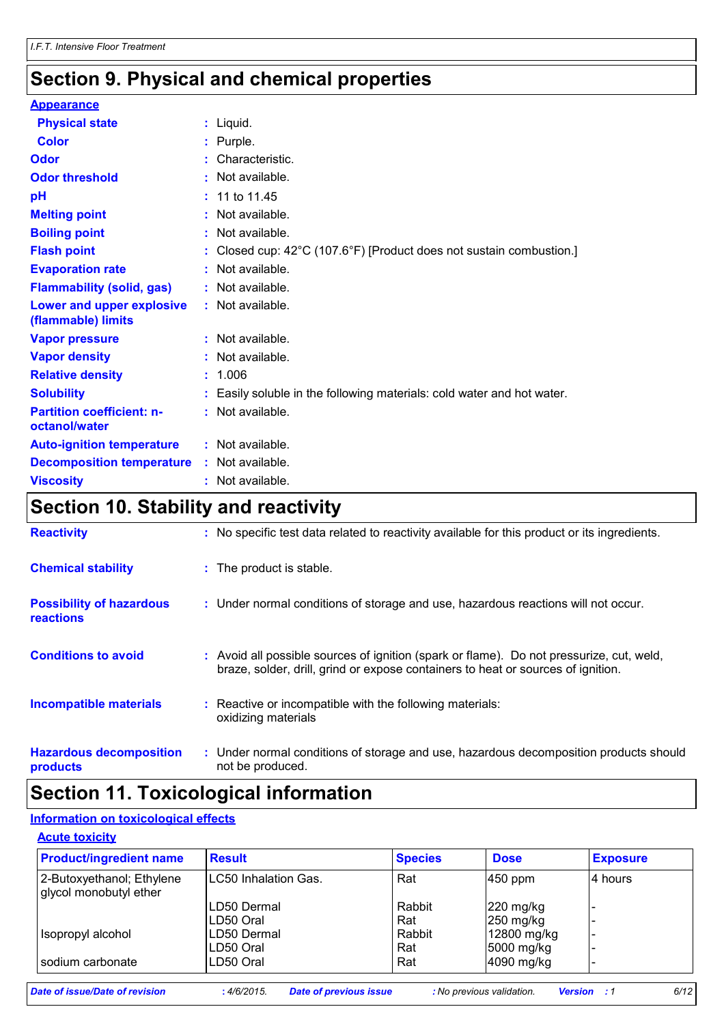# **Section 9. Physical and chemical properties**

#### **Appearance**

| <b>Physical state</b>                             | $:$ Liquid.                                                            |
|---------------------------------------------------|------------------------------------------------------------------------|
| Color                                             | : Purple.                                                              |
| Odor                                              | : Characteristic.                                                      |
| <b>Odor threshold</b>                             | $:$ Not available.                                                     |
| рH                                                | : 11 to 11.45                                                          |
| <b>Melting point</b>                              | $:$ Not available.                                                     |
| <b>Boiling point</b>                              | : Not available.                                                       |
| <b>Flash point</b>                                | : Closed cup: 42°C (107.6°F) [Product does not sustain combustion.]    |
| <b>Evaporation rate</b>                           | $:$ Not available.                                                     |
| <b>Flammability (solid, gas)</b>                  | : Not available.                                                       |
| Lower and upper explosive<br>(flammable) limits   | : Not available.                                                       |
| <b>Vapor pressure</b>                             | : Not available.                                                       |
| <b>Vapor density</b>                              | : Not available.                                                       |
| <b>Relative density</b>                           | : 1.006                                                                |
| <b>Solubility</b>                                 | : Easily soluble in the following materials: cold water and hot water. |
| <b>Partition coefficient: n-</b><br>octanol/water | $:$ Not available.                                                     |
| <b>Auto-ignition temperature</b>                  | $:$ Not available.                                                     |
| <b>Decomposition temperature</b>                  | : Not available.                                                       |
| <b>Viscosity</b>                                  | : Not available.                                                       |
|                                                   |                                                                        |

# **Section 10. Stability and reactivity**

| <b>Reactivity</b>                                   | : No specific test data related to reactivity available for this product or its ingredients.                                                                                 |
|-----------------------------------------------------|------------------------------------------------------------------------------------------------------------------------------------------------------------------------------|
| <b>Chemical stability</b>                           | : The product is stable.                                                                                                                                                     |
| <b>Possibility of hazardous</b><br><b>reactions</b> | : Under normal conditions of storage and use, hazardous reactions will not occur.                                                                                            |
| <b>Conditions to avoid</b>                          | : Avoid all possible sources of ignition (spark or flame). Do not pressurize, cut, weld,<br>braze, solder, drill, grind or expose containers to heat or sources of ignition. |
| <b>Incompatible materials</b>                       | Reactive or incompatible with the following materials:<br>oxidizing materials                                                                                                |
| <b>Hazardous decomposition</b><br>products          | : Under normal conditions of storage and use, hazardous decomposition products should<br>not be produced.                                                                    |

# **Section 11. Toxicological information**

#### **Information on toxicological effects**

#### **Acute toxicity**

| <b>Product/ingredient name</b>                      | <b>Result</b>         | <b>Species</b> | <b>Dose</b>           | <b>Exposure</b> |
|-----------------------------------------------------|-----------------------|----------------|-----------------------|-----------------|
| 2-Butoxyethanol; Ethylene<br>glycol monobutyl ether | ILC50 Inhalation Gas. | Rat            | $ 450$ ppm            | 4 hours         |
|                                                     | LD50 Dermal           | Rabbit         | $ 220 \text{ mg/kg} $ |                 |
|                                                     | LD50 Oral             | Rat            | $250$ mg/kg           |                 |
| Isopropyl alcohol                                   | LD50 Dermal           | Rabbit         | 12800 mg/kg           |                 |
|                                                     | LD50 Oral             | Rat            | 5000 mg/kg            |                 |
| sodium carbonate                                    | LD50 Oral             | Rat            | 4090 mg/kg            |                 |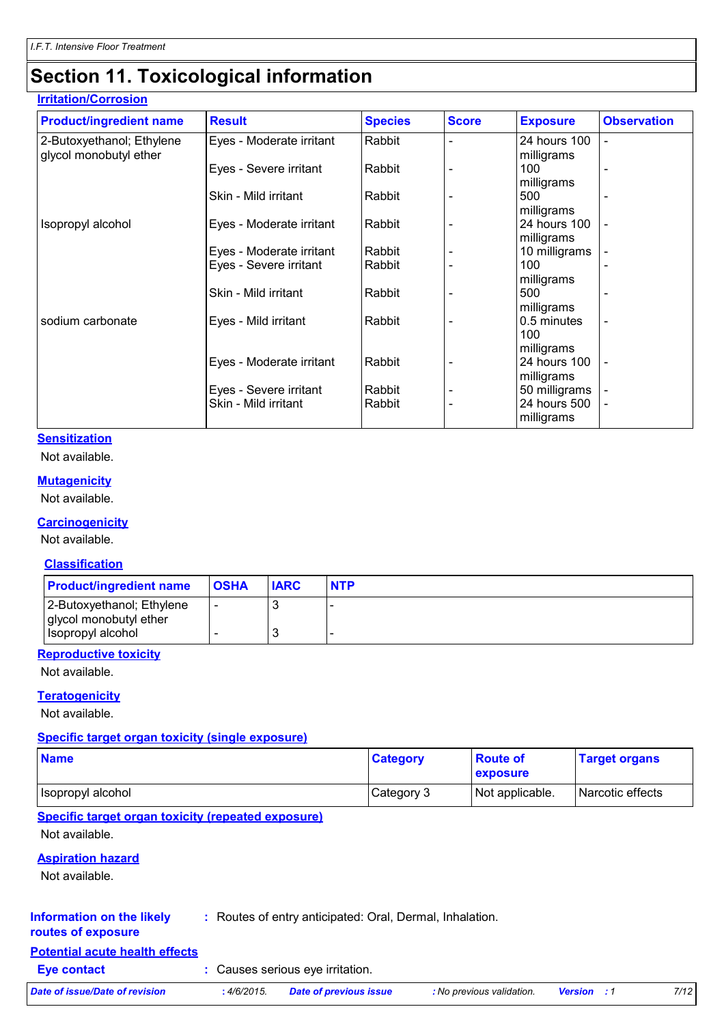### **Section 11. Toxicological information**

#### **Irritation/Corrosion**

| <b>Product/ingredient name</b> | <b>Result</b>            | <b>Species</b> | <b>Score</b> | <b>Exposure</b> | <b>Observation</b>       |
|--------------------------------|--------------------------|----------------|--------------|-----------------|--------------------------|
| 2-Butoxyethanol; Ethylene      | Eyes - Moderate irritant | Rabbit         |              | 24 hours 100    | ۰                        |
| glycol monobutyl ether         |                          |                |              | milligrams      |                          |
|                                | Eyes - Severe irritant   | Rabbit         |              | 100             | $\overline{\phantom{a}}$ |
|                                |                          |                |              | milligrams      |                          |
|                                | Skin - Mild irritant     | Rabbit         |              | 500             |                          |
|                                |                          |                |              | milligrams      |                          |
| Isopropyl alcohol              | Eyes - Moderate irritant | Rabbit         |              | 24 hours 100    |                          |
|                                |                          |                |              | milligrams      |                          |
|                                | Eyes - Moderate irritant | Rabbit         |              | 10 milligrams   |                          |
|                                | Eyes - Severe irritant   | Rabbit         |              | 100             |                          |
|                                |                          |                |              | milligrams      |                          |
|                                | Skin - Mild irritant     | Rabbit         |              | 500             |                          |
|                                |                          |                |              | milligrams      |                          |
| sodium carbonate               | Eyes - Mild irritant     | Rabbit         |              | 0.5 minutes     | $\overline{\phantom{a}}$ |
|                                |                          |                |              | 100             |                          |
|                                |                          |                |              | milligrams      |                          |
|                                | Eyes - Moderate irritant | Rabbit         |              | 24 hours 100    | $\blacksquare$           |
|                                |                          |                |              | milligrams      |                          |
|                                | Eyes - Severe irritant   | Rabbit         |              | 50 milligrams   |                          |
|                                | Skin - Mild irritant     | Rabbit         |              | 24 hours 500    |                          |
|                                |                          |                |              | milligrams      |                          |

#### **Sensitization**

Not available.

#### **Mutagenicity**

Not available.

#### **Carcinogenicity**

Not available.

#### **Classification**

| <b>Product/ingredient name</b>                      | <b>OSHA</b> | <b>IARC</b> | <b>NTP</b> |
|-----------------------------------------------------|-------------|-------------|------------|
| 2-Butoxyethanol; Ethylene<br>glycol monobutyl ether | -           |             |            |
| Isopropyl alcohol                                   |             |             |            |

#### **Reproductive toxicity**

Not available.

#### **Teratogenicity**

Not available.

#### **Specific target organ toxicity (single exposure)**

| <b>Name</b>       | <b>Category</b> | <b>Route of</b><br>exposure | <b>Target organs</b> |
|-------------------|-----------------|-----------------------------|----------------------|
| Isopropyl alcohol | Category 3      | Not applicable.             | Narcotic effects     |

#### **Specific target organ toxicity (repeated exposure)**

Not available.

#### **Aspiration hazard**

Not available.

#### **Information on the likely routes of exposure :** Routes of entry anticipated: Oral, Dermal, Inhalation.

### **Potential acute health effects**

- **Eye contact :** Causes serious eye irritation.
- *Date of issue/Date of revision* **:** *4/6/2015. Date of previous issue : No previous validation. Version : 1 7/12*
	-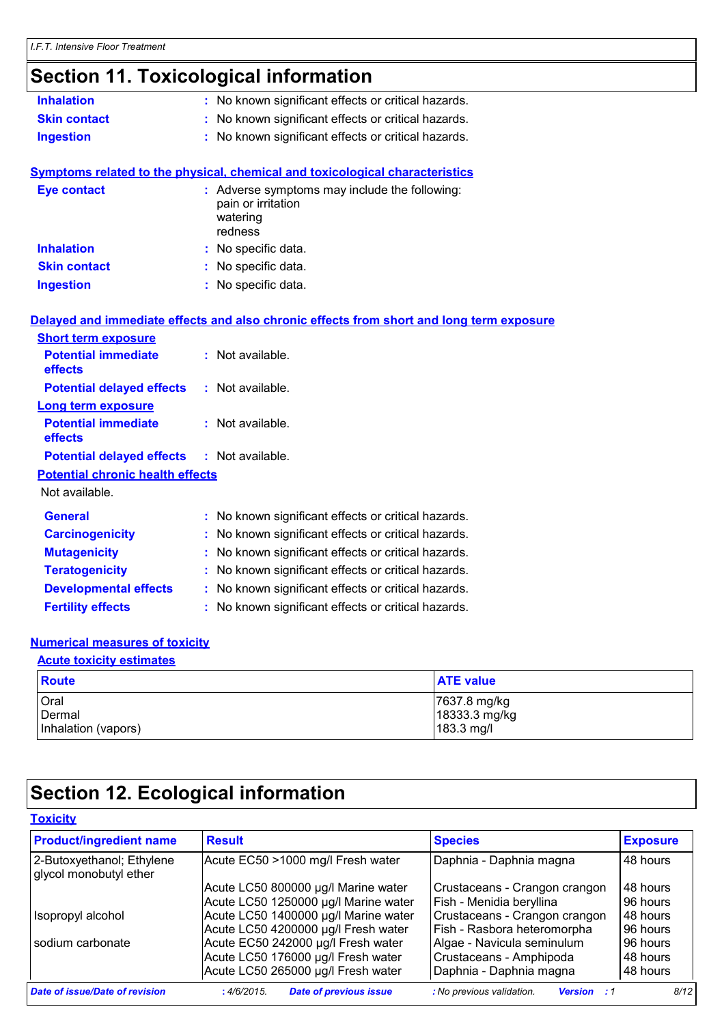# **Section 11. Toxicological information**

| <b>Inhalation</b>                       | : No known significant effects or critical hazards.                                        |
|-----------------------------------------|--------------------------------------------------------------------------------------------|
| <b>Skin contact</b>                     | : No known significant effects or critical hazards.                                        |
| <b>Ingestion</b>                        | : No known significant effects or critical hazards.                                        |
|                                         | Symptoms related to the physical, chemical and toxicological characteristics               |
| <b>Eye contact</b>                      | : Adverse symptoms may include the following:<br>pain or irritation<br>watering<br>redness |
| <b>Inhalation</b>                       | : No specific data.                                                                        |
| <b>Skin contact</b>                     | : No specific data.                                                                        |
| <b>Ingestion</b>                        | : No specific data.                                                                        |
|                                         | Delayed and immediate effects and also chronic effects from short and long term exposure   |
| <b>Short term exposure</b>              |                                                                                            |
| <b>Potential immediate</b><br>effects   | : Not available.                                                                           |
| <b>Potential delayed effects</b>        | : Not available.                                                                           |
| <b>Long term exposure</b>               |                                                                                            |
| <b>Potential immediate</b><br>effects   | : Not available.                                                                           |
| <b>Potential delayed effects</b>        | : Not available.                                                                           |
| <b>Potential chronic health effects</b> |                                                                                            |
| Not available.                          |                                                                                            |
| <b>General</b>                          | : No known significant effects or critical hazards.                                        |
| <b>Carcinogenicity</b>                  | No known significant effects or critical hazards.<br>t.                                    |
| <b>Mutagenicity</b>                     | No known significant effects or critical hazards.                                          |
| <b>Teratogenicity</b>                   | No known significant effects or critical hazards.                                          |
| <b>Developmental effects</b>            | : No known significant effects or critical hazards.                                        |
| <b>Fertility effects</b>                | No known significant effects or critical hazards.                                          |

#### **Numerical measures of toxicity**

| <b>Acute toxicity estimates</b> |                  |  |
|---------------------------------|------------------|--|
| <b>Route</b>                    | <b>ATE value</b> |  |
| Oral                            | 7637.8 mg/kg     |  |
| Dermal                          | 18333.3 mg/kg    |  |
| Inhalation (vapors)             | 183.3 mg/l       |  |

# **Section 12. Ecological information**

#### **Toxicity**

| <b>Product/ingredient name</b>                      | <b>Result</b>                               | <b>Species</b>                                  | <b>Exposure</b> |
|-----------------------------------------------------|---------------------------------------------|-------------------------------------------------|-----------------|
| 2-Butoxyethanol; Ethylene<br>glycol monobutyl ether | Acute EC50 >1000 mg/l Fresh water           | Daphnia - Daphnia magna                         | 48 hours        |
|                                                     | Acute LC50 800000 µg/l Marine water         | Crustaceans - Crangon crangon                   | 48 hours        |
|                                                     | Acute LC50 1250000 µg/l Marine water        | Fish - Menidia beryllina                        | 96 hours        |
| Isopropyl alcohol                                   | Acute LC50 1400000 µg/l Marine water        | Crustaceans - Crangon crangon                   | 48 hours        |
|                                                     | Acute LC50 4200000 µg/l Fresh water         | Fish - Rasbora heteromorpha                     | 96 hours        |
| sodium carbonate                                    | Acute EC50 242000 µg/l Fresh water          | Algae - Navicula seminulum                      | 96 hours        |
|                                                     | Acute LC50 176000 µg/l Fresh water          | Crustaceans - Amphipoda                         | 48 hours        |
|                                                     | Acute LC50 265000 µg/l Fresh water          | Daphnia - Daphnia magna                         | 48 hours        |
| Date of issue/Date of revision                      | <b>Date of previous issue</b><br>:4/6/2015. | : No previous validation.<br><b>Version</b> : 1 | 8/12            |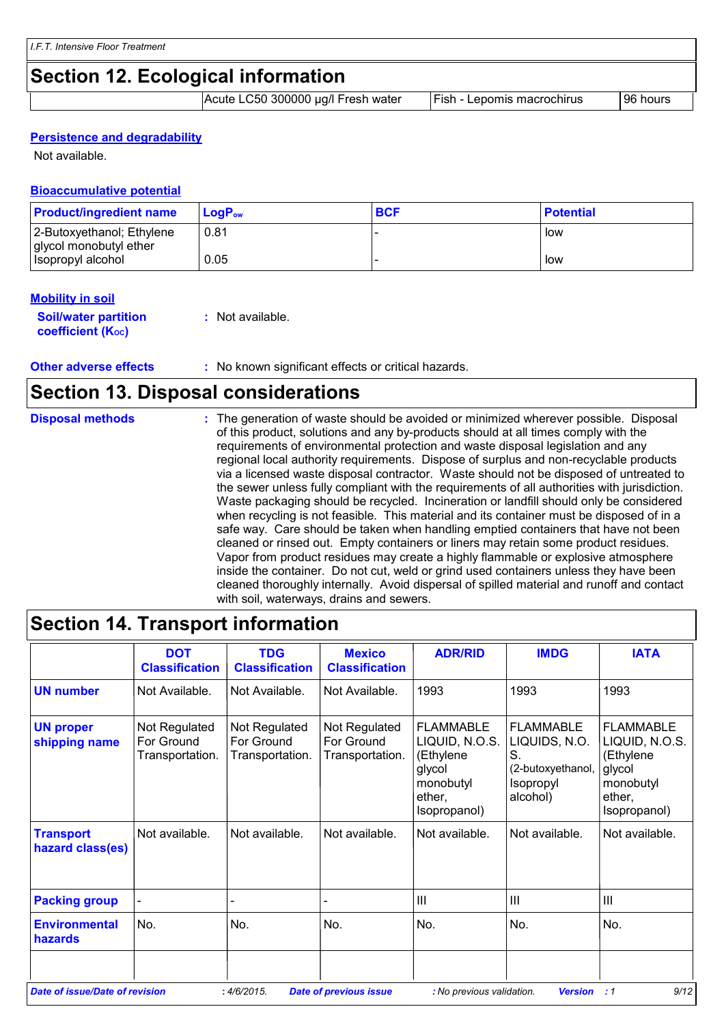### **Section 12. Ecological information**

Acute LC50 300000 µg/l Fresh water Fish - Lepomis macrochirus | 96 hours

#### **Persistence and degradability**

Not available.

#### **Bioaccumulative potential**

| <b>Product/ingredient name</b>                      | $LoaPow$ | <b>BCF</b> | <b>Potential</b> |
|-----------------------------------------------------|----------|------------|------------------|
| 2-Butoxyethanol; Ethylene<br>glycol monobutyl ether | 0.81     |            | l low            |
| Isopropyl alcohol                                   | 0.05     |            | low              |

#### **Mobility in soil**

| <b>Soil/water partition</b>    | : Not available. |
|--------------------------------|------------------|
| coefficient (K <sub>oc</sub> ) |                  |

**Other adverse effects** : No known significant effects or critical hazards.

# **Section 13. Disposal considerations**

| <b>Disposal methods</b> | : The generation of waste should be avoided or minimized wherever possible. Disposal<br>of this product, solutions and any by-products should at all times comply with the<br>requirements of environmental protection and waste disposal legislation and any<br>regional local authority requirements. Dispose of surplus and non-recyclable products<br>via a licensed waste disposal contractor. Waste should not be disposed of untreated to<br>the sewer unless fully compliant with the requirements of all authorities with jurisdiction.<br>Waste packaging should be recycled. Incineration or landfill should only be considered<br>when recycling is not feasible. This material and its container must be disposed of in a<br>safe way. Care should be taken when handling emptied containers that have not been<br>cleaned or rinsed out. Empty containers or liners may retain some product residues.<br>Vapor from product residues may create a highly flammable or explosive atmosphere |
|-------------------------|----------------------------------------------------------------------------------------------------------------------------------------------------------------------------------------------------------------------------------------------------------------------------------------------------------------------------------------------------------------------------------------------------------------------------------------------------------------------------------------------------------------------------------------------------------------------------------------------------------------------------------------------------------------------------------------------------------------------------------------------------------------------------------------------------------------------------------------------------------------------------------------------------------------------------------------------------------------------------------------------------------|
|                         | inside the container. Do not cut, weld or grind used containers unless they have been<br>cleaned thoroughly internally. Avoid dispersal of spilled material and runoff and contact<br>with soil, waterways, drains and sewers.                                                                                                                                                                                                                                                                                                                                                                                                                                                                                                                                                                                                                                                                                                                                                                           |

|                                      | <b>DOT</b><br><b>Classification</b>            | <b>TDG</b><br><b>Classification</b>            | <b>Mexico</b><br><b>Classification</b>         | <b>ADR/RID</b>                                                                                   | <b>IMDG</b>                                                                           | <b>IATA</b>                                                                                      |
|--------------------------------------|------------------------------------------------|------------------------------------------------|------------------------------------------------|--------------------------------------------------------------------------------------------------|---------------------------------------------------------------------------------------|--------------------------------------------------------------------------------------------------|
| <b>UN number</b>                     | Not Available.                                 | Not Available.                                 | Not Available.                                 | 1993                                                                                             | 1993                                                                                  | 1993                                                                                             |
| <b>UN proper</b><br>shipping name    | Not Regulated<br>For Ground<br>Transportation. | Not Regulated<br>For Ground<br>Transportation. | Not Regulated<br>For Ground<br>Transportation. | <b>FLAMMABLE</b><br>LIQUID, N.O.S.<br>(Ethylene<br>glycol<br>monobutyl<br>ether,<br>Isopropanol) | <b>FLAMMABLE</b><br>LIQUIDS, N.O.<br>S.<br>(2-butoxyethanol,<br>Isopropyl<br>alcohol) | <b>FLAMMABLE</b><br>LIQUID, N.O.S.<br>(Ethylene<br>glycol<br>monobutyl<br>ether,<br>Isopropanol) |
| <b>Transport</b><br>hazard class(es) | Not available.                                 | Not available.                                 | Not available.                                 | Not available.                                                                                   | Not available.                                                                        | Not available.                                                                                   |
| <b>Packing group</b>                 |                                                |                                                |                                                | $\mathbf{III}$                                                                                   | $\mathbf{III}$                                                                        | Ш                                                                                                |
| <b>Environmental</b><br>hazards      | No.                                            | No.                                            | No.                                            | No.                                                                                              | No.                                                                                   | No.                                                                                              |

# **Section 14. Transport information**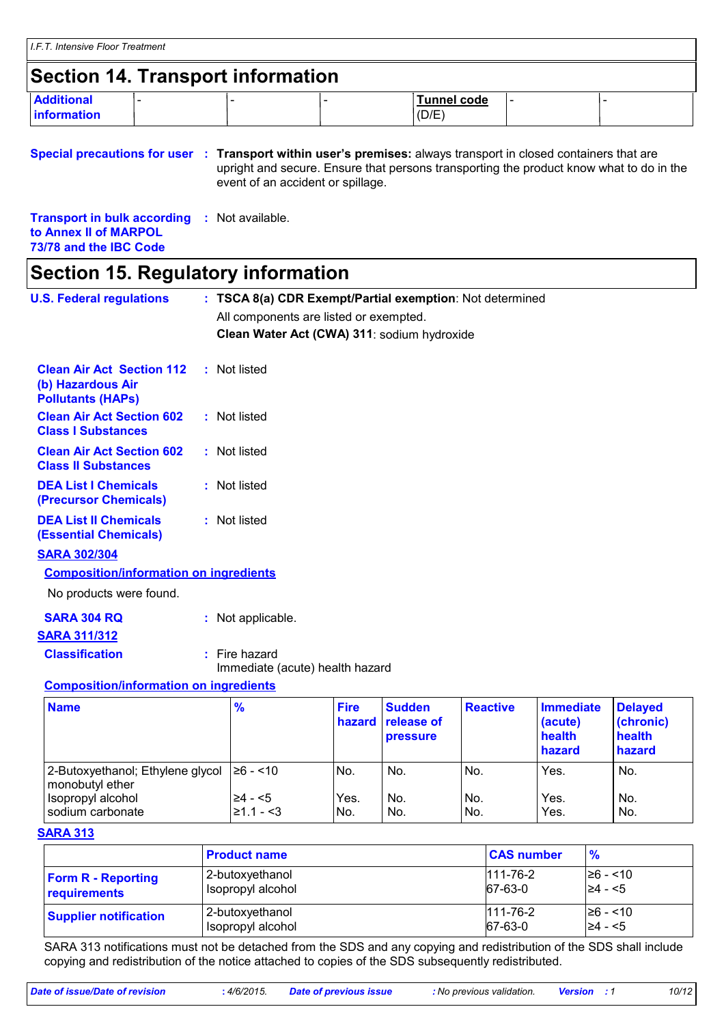### **Section 14. Transport information**

| <b>Additional</b>   |  | <b>Tunnel code</b> | . . |  |
|---------------------|--|--------------------|-----|--|
| <b>linformation</b> |  | (D/E)              |     |  |

**Special precautions for user** : Transport within user's premises: always transport in closed containers that are upright and secure. Ensure that persons transporting the product know what to do in the event of an accident or spillage.

**Transport in bulk according to Annex II of MARPOL 73/78 and the IBC Code :** Not available.

### **Section 15. Regulatory information**

| <b>U.S. Federal regulations</b>                                                   |  | : TSCA 8(a) CDR Exempt/Partial exemption: Not determined |                       |                                         |                 |                                                 |                                                 |
|-----------------------------------------------------------------------------------|--|----------------------------------------------------------|-----------------------|-----------------------------------------|-----------------|-------------------------------------------------|-------------------------------------------------|
|                                                                                   |  | All components are listed or exempted.                   |                       |                                         |                 |                                                 |                                                 |
|                                                                                   |  | Clean Water Act (CWA) 311: sodium hydroxide              |                       |                                         |                 |                                                 |                                                 |
| <b>Clean Air Act Section 112</b><br>(b) Hazardous Air<br><b>Pollutants (HAPs)</b> |  | : Not listed                                             |                       |                                         |                 |                                                 |                                                 |
| <b>Clean Air Act Section 602</b><br><b>Class I Substances</b>                     |  | : Not listed                                             |                       |                                         |                 |                                                 |                                                 |
| <b>Clean Air Act Section 602</b><br><b>Class II Substances</b>                    |  | : Not listed                                             |                       |                                         |                 |                                                 |                                                 |
| <b>DEA List I Chemicals</b><br>(Precursor Chemicals)                              |  | : Not listed                                             |                       |                                         |                 |                                                 |                                                 |
| <b>DEA List II Chemicals</b><br><b>(Essential Chemicals)</b>                      |  | : Not listed                                             |                       |                                         |                 |                                                 |                                                 |
| <b>SARA 302/304</b>                                                               |  |                                                          |                       |                                         |                 |                                                 |                                                 |
| <b>Composition/information on ingredients</b>                                     |  |                                                          |                       |                                         |                 |                                                 |                                                 |
| No products were found.                                                           |  |                                                          |                       |                                         |                 |                                                 |                                                 |
| <b>SARA 304 RQ</b>                                                                |  | : Not applicable.                                        |                       |                                         |                 |                                                 |                                                 |
| <b>SARA 311/312</b>                                                               |  |                                                          |                       |                                         |                 |                                                 |                                                 |
| <b>Classification</b>                                                             |  | $:$ Fire hazard                                          |                       |                                         |                 |                                                 |                                                 |
|                                                                                   |  | Immediate (acute) health hazard                          |                       |                                         |                 |                                                 |                                                 |
| <b>Composition/information on ingredients</b>                                     |  |                                                          |                       |                                         |                 |                                                 |                                                 |
| <b>Name</b>                                                                       |  | $\frac{9}{6}$                                            | <b>Fire</b><br>hazard | <b>Sudden</b><br>release of<br>pressure | <b>Reactive</b> | <b>Immediate</b><br>(acute)<br>health<br>hazard | <b>Delayed</b><br>(chronic)<br>health<br>hazard |
| 2-Butoxyethanol; Ethylene glycol<br>monobutyl ether                               |  | $≥6 - < 10$                                              | No.                   | No.                                     | No.             | Yes.                                            | No.                                             |

#### **SARA 313**

|                              | <b>Product name</b> | <b>CAS number</b> | $\frac{9}{6}$ |
|------------------------------|---------------------|-------------------|---------------|
| <b>Form R - Reporting</b>    | 2-butoxyethanol     | $111 - 76 - 2$    | $\geq 6 - 10$ |
| requirements                 | Isopropyl alcohol   | 67-63-0           | $\geq 4 - 5$  |
| <b>Supplier notification</b> | 2-butoxyethanol     | $111 - 76 - 2$    | 26 - <10      |
|                              | Isopropyl alcohol   | 67-63-0           | l≥4 - <5      |

Isopropyl alcohol  $\geq 4$  - <5  $\mid$  Yes.  $\mid$  No.  $\mid$  Yes.  $\mid$  No.  $\mid$  Yes.  $\mid$  No. sodium carbonate  $\vert$ ≥1.1 - <3 No. No. No. No. Yes. No.

SARA 313 notifications must not be detached from the SDS and any copying and redistribution of the SDS shall include copying and redistribution of the notice attached to copies of the SDS subsequently redistributed.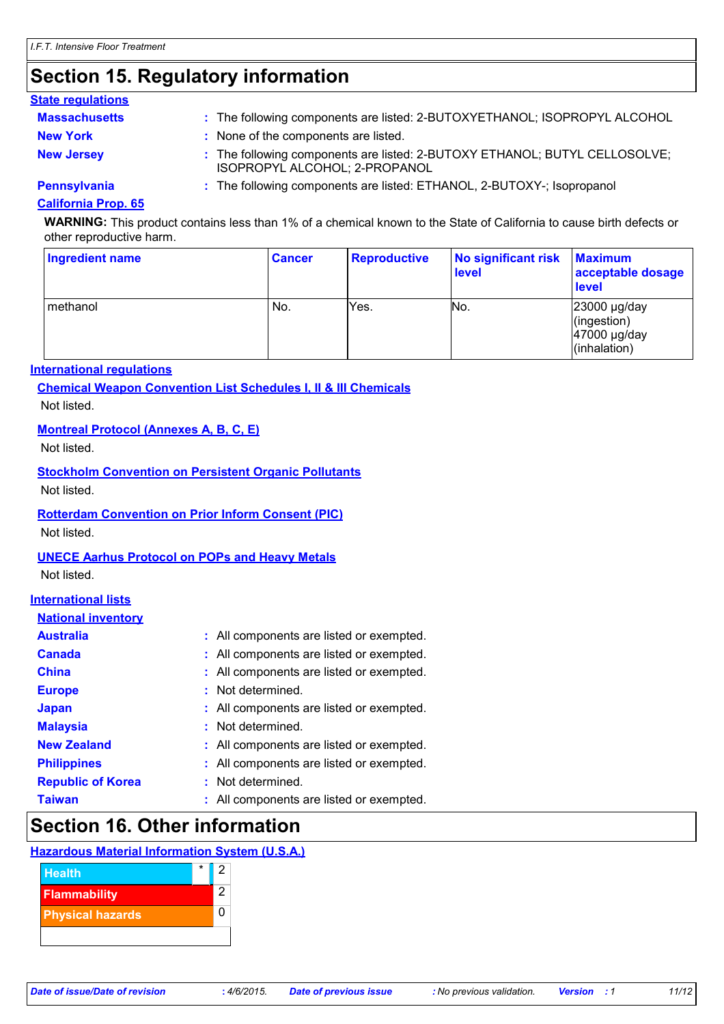# **Section 15. Regulatory information**

#### **State regulations**

| <b>Massachusetts</b> | : The following components are listed: 2-BUTOXYETHANOL; ISOPROPYL ALCOHOL                                   |
|----------------------|-------------------------------------------------------------------------------------------------------------|
| <b>New York</b>      | : None of the components are listed.                                                                        |
| <b>New Jersey</b>    | : The following components are listed: 2-BUTOXY ETHANOL; BUTYL CELLOSOLVE;<br>ISOPROPYL ALCOHOL; 2-PROPANOL |
| <b>Pennsylvania</b>  | : The following components are listed: ETHANOL, 2-BUTOXY-; Isopropanol                                      |

#### **California Prop. 65**

**WARNING:** This product contains less than 1% of a chemical known to the State of California to cause birth defects or other reproductive harm.

| <b>Ingredient name</b> | <b>Cancer</b> | <b>Reproductive</b> | No significant risk<br>level | <b>Maximum</b><br>acceptable dosage<br><b>level</b>         |
|------------------------|---------------|---------------------|------------------------------|-------------------------------------------------------------|
| l methanol             | No.           | Yes.                | No.                          | 23000 µg/day<br>(ingestion)<br>47000 µg/day<br>(inhalation) |

#### **International regulations**

**Chemical Weapon Convention List Schedules I, II & III Chemicals** Not listed.

#### **Montreal Protocol (Annexes A, B, C, E)**

Not listed.

#### **Stockholm Convention on Persistent Organic Pollutants**

Not listed.

### **Rotterdam Convention on Prior Inform Consent (PIC)**

Not listed.

#### **UNECE Aarhus Protocol on POPs and Heavy Metals**

Not listed.

#### **International lists**

| <b>National inventory</b> |                                          |
|---------------------------|------------------------------------------|
| <b>Australia</b>          | : All components are listed or exempted. |
| <b>Canada</b>             | : All components are listed or exempted. |
| <b>China</b>              | : All components are listed or exempted. |
| <b>Europe</b>             | : Not determined.                        |
| <b>Japan</b>              | : All components are listed or exempted. |
| <b>Malaysia</b>           | : Not determined.                        |
| <b>New Zealand</b>        | : All components are listed or exempted. |
| <b>Philippines</b>        | : All components are listed or exempted. |
| <b>Republic of Korea</b>  | : Not determined.                        |
| <b>Taiwan</b>             | : All components are listed or exempted. |

### **Section 16. Other information**

#### **Hazardous Material Information System (U.S.A.)**